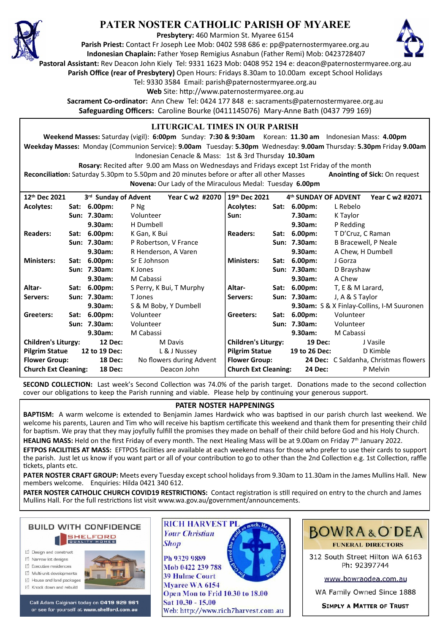

# **PATER NOSTER CATHOLIC PARISH OF MYAREE**

**Presbytery:** 460 Marmion St. Myaree 6154

**Parish Priest:** Contact Fr Joseph Lee Mob: 0402 598 686 e: pp@paternostermyaree.org.au **Indonesian Chaplain:** Father Yosep Remigius Asnabun (Father Remi) Mob: 0423728407



**Pastoral Assistant:** Rev Deacon John Kiely Tel: 9331 1623 Mob: 0408 952 194 e: deacon@paternostermyaree.org.au

**Parish Office (rear of Presbytery)** Open Hours: Fridays 8.30am to 10.00am except School Holidays

Tel: 9330 3584 Email: parish@paternostermyaree.org.au

Web Site: http://www.paternostermyaree.org.au

**Sacrament Co-ordinator:** Ann Chew Tel: 0424 177 848 e: sacraments@paternostermyaree.org.au **Safeguarding Officers:** Caroline Bourke (0411145076) Mary-Anne Bath (0437 799 169)

### **LITURGICAL TIMES IN OUR PARISH**

**Weekend Masses:** Saturday (vigil): **6:00pm** Sunday: **7:30 & 9:30am** Korean: **11.30 am** Indonesian Mass: **4.00pm Weekday Masses:** Monday (Communion Service): **9.00am** Tuesday: **5.30pm** Wednesday: **9.00am** Thursday: **5.30pm** Friday **9.00am** Indonesian Cenacle & Mass: 1st & 3rd Thursday **10.30am**

**Rosary:** Recited a�er 9.00 am Mass on Wednesdays and Fridays except 1st Friday of the month Reconciliation: Saturday 5.30pm to 5.50pm and 20 minutes before or after all other Masses **Anointing of Sick:** On request **Novena:** Our Lady of the Miraculous Medal: Tuesday **6.00pm**

| 12th Dec 2021                                 |  | 3 <sup>rd</sup> Sunday of Advent | Year C w2 #2070          | 19 <sup>th</sup> Dec 2021   | 4th SUNDAY OF ADVENT | Year C w2 #2071                            |
|-----------------------------------------------|--|----------------------------------|--------------------------|-----------------------------|----------------------|--------------------------------------------|
| <b>Acolytes:</b>                              |  | Sat: 6.00pm:                     | P Ng                     | <b>Acolytes:</b>            | Sat: 6.00pm:         | L Rebelo                                   |
|                                               |  | Sun: 7.30am:                     | Volunteer                | Sun:                        | 7.30am:              | K Taylor                                   |
|                                               |  | 9.30am:                          | H Dumbell                |                             | 9.30am:              | P Redding                                  |
| <b>Readers:</b>                               |  | Sat: 6.00pm:                     | K Gan, K Bui             | <b>Readers:</b>             | Sat: 6.00pm:         | T D'Cruz, C Raman                          |
|                                               |  | Sun: 7.30am:                     | P Robertson, V France    |                             | Sun: 7.30am:         | B Bracewell, P Neale                       |
|                                               |  | 9.30am:                          | R Henderson, A Varen     |                             | 9.30am:              | A Chew, H Dumbell                          |
| <b>Ministers:</b>                             |  | Sat: 6.00pm:                     | Sr E Johnson             | <b>Ministers:</b>           | Sat: 6.00pm:         | J Gorza                                    |
|                                               |  | Sun: 7.30am:                     | K Jones                  |                             | Sun: 7.30am:         | D Brayshaw                                 |
|                                               |  | $9.30$ am:                       | M Cabassi                |                             | 9.30am:              | A Chew                                     |
| Altar-                                        |  | Sat: 6.00pm:                     | S Perry, K Bui, T Murphy | Altar-                      | Sat: 6.00pm:         | T, E & M Larard,                           |
| Servers:                                      |  | Sun: 7.30am:                     | T Jones                  | Servers:                    | Sun: 7.30am:         | J, A & S Taylor                            |
|                                               |  | $9.30$ am:                       | S & M Boby, Y Dumbell    |                             |                      | 9.30am: S & X Finlay-Collins, I-M Suuronen |
| Greeters:                                     |  | Sat: 6.00pm:                     | Volunteer                | Greeters:                   | Sat: 6.00pm:         | Volunteer                                  |
|                                               |  | Sun: 7.30am:                     | Volunteer                |                             | Sun: 7.30am:         | Volunteer                                  |
|                                               |  | 9.30am:                          | M Cabassi                |                             | 9.30am:              | M Cabassi                                  |
| <b>Children's Liturgy:</b><br><b>12 Dec:</b>  |  |                                  | M Davis                  | <b>Children's Liturgy:</b>  | 19 Dec:              | J Vasile                                   |
| <b>Pilgrim Statue</b><br>12 to 19 Dec:        |  |                                  | L & J Nussey             | <b>Pilgrim Statue</b>       | 19 to 26 Dec:        | D Kimble                                   |
| <b>Flower Group:</b><br><b>18 Dec:</b>        |  |                                  | No flowers during Advent | <b>Flower Group:</b>        |                      | 24 Dec: C Saldanha, Christmas flowers      |
| <b>Church Ext Cleaning:</b><br><b>18 Dec:</b> |  |                                  | Deacon John              | <b>Church Ext Cleaning:</b> | 24 Dec:              | P Melvin                                   |

**SECOND COLLECTION:** Last week's Second Collection was 74.0% of the parish target. Donations made to the second collection cover our obligations to keep the Parish running and viable. Please help by continuing your generous support.

#### **PATER NOSTER HAPPENINGS**

**BAPTISM:** A warm welcome is extended to Benjamin James Hardwick who was baptised in our parish church last weekend. We welcome his parents, Lauren and Tim who will receive his baptism certificate this weekend and thank them for presenting their child for baptism. We pray that they may joyfully fulfill the promises they made on behalf of their child before God and his Holy Church.

HEALING MASS: Held on the first Friday of every month. The next Healing Mass will be at 9.00am on Friday 7<sup>th</sup> January 2022.

**EFTPOS FACILITIES AT MASS:** EFTPOS facili�es are available at each weekend mass for those who prefer to use their cards to support the parish. Just let us know if you want part or all of your contribution to go to other than the 2nd Collection e.g. 1st Collection, raffle tickets, plants etc.

**PATER NOSTER CRAFT GROUP:** Meets every Tuesday except school holidays from 9.30am to 11.30am in the James Mullins Hall. New members welcome. Enquiries: Hilda 0421 340 612.

PATER NOSTER CATHOLIC CHURCH COVID19 RESTRICTIONS: Contact registration is still required on entry to the church and James Mullins Hall. For the full restrictions list visit www.wa.gov.au/government/announcements.



- $\triangledown$  Narrow lot designe
- $\triangledown$  Executive residences
- Multi-unit developments
- M House and land packages
- ☑ Knock down and rebuild



Call Adam Calginari today on 0419 929 961 or see for yourself at www.shelford.com.au



Mob 0422 239 788 **39 Hulme Court** Mvaree WA 6154 Open Mon to Frid 10.30 to 18.00 Sat 10.30 - 15.00 Web: http://www.rich7harvest.com.au

**Shop** 



**BOWRA&O'DEA FUNERAL DIRECTORS** 

312 South Street Hilton WA 6163 Ph: 92397744

www.bowraodea.com.au

WA Family Owned Since 1888

**SIMPLY A MATTER OF TRUST**